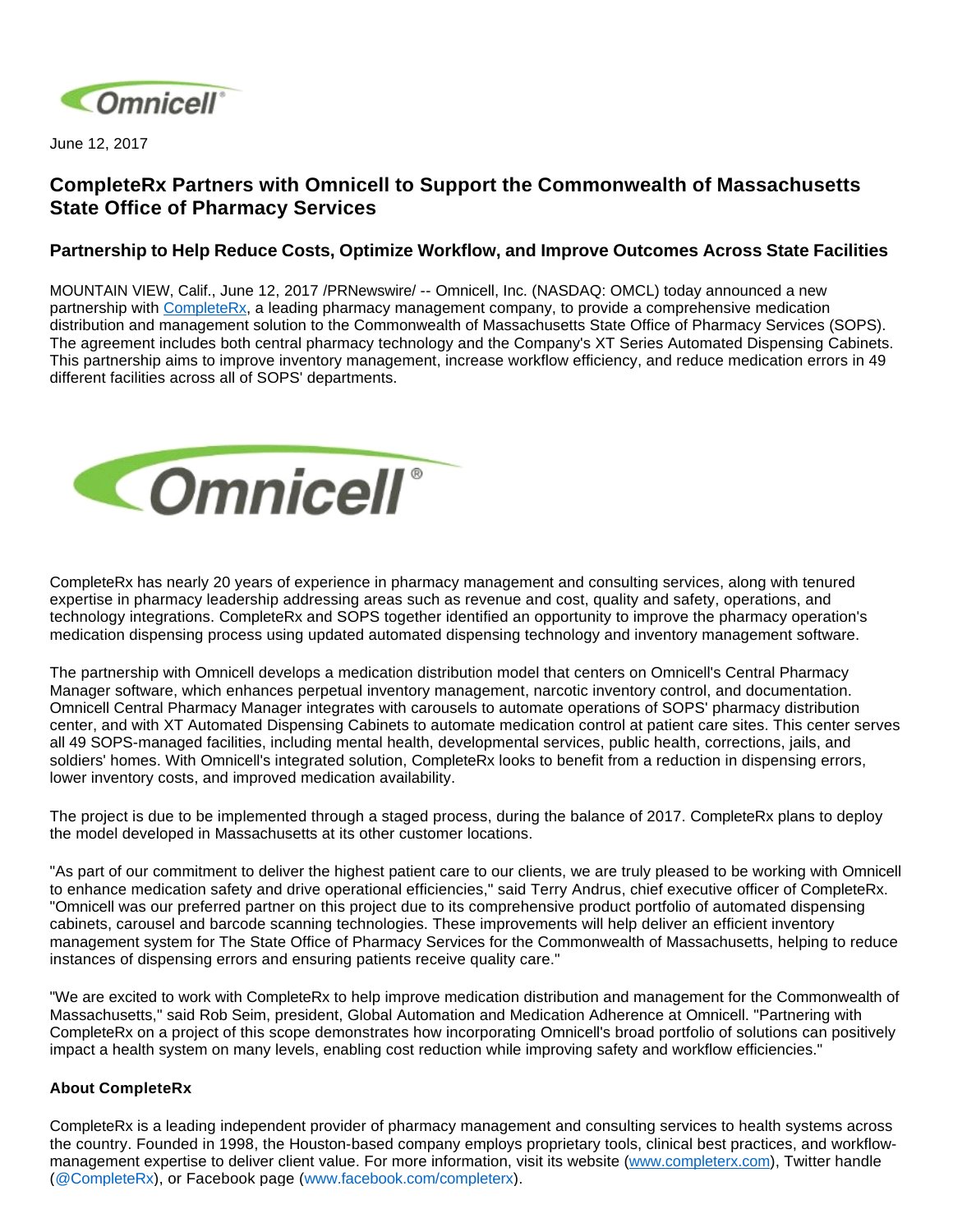

June 12, 2017

## **CompleteRx Partners with Omnicell to Support the Commonwealth of Massachusetts State Office of Pharmacy Services**

## **Partnership to Help Reduce Costs, Optimize Workflow, and Improve Outcomes Across State Facilities**

MOUNTAIN VIEW, Calif., June 12, 2017 /PRNewswire/ -- Omnicell, Inc. (NASDAQ: OMCL) today announced a new partnership with [CompleteRx](https://www.completerx.com/), a leading pharmacy management company, to provide a comprehensive medication distribution and management solution to the Commonwealth of Massachusetts State Office of Pharmacy Services (SOPS). The agreement includes both central pharmacy technology and the Company's XT Series Automated Dispensing Cabinets. This partnership aims to improve inventory management, increase workflow efficiency, and reduce medication errors in 49 different facilities across all of SOPS' departments.



CompleteRx has nearly 20 years of experience in pharmacy management and consulting services, along with tenured expertise in pharmacy leadership addressing areas such as revenue and cost, quality and safety, operations, and technology integrations. CompleteRx and SOPS together identified an opportunity to improve the pharmacy operation's medication dispensing process using updated automated dispensing technology and inventory management software.

The partnership with Omnicell develops a medication distribution model that centers on Omnicell's Central Pharmacy Manager software, which enhances perpetual inventory management, narcotic inventory control, and documentation. Omnicell Central Pharmacy Manager integrates with carousels to automate operations of SOPS' pharmacy distribution center, and with XT Automated Dispensing Cabinets to automate medication control at patient care sites. This center serves all 49 SOPS-managed facilities, including mental health, developmental services, public health, corrections, jails, and soldiers' homes. With Omnicell's integrated solution, CompleteRx looks to benefit from a reduction in dispensing errors, lower inventory costs, and improved medication availability.

The project is due to be implemented through a staged process, during the balance of 2017. CompleteRx plans to deploy the model developed in Massachusetts at its other customer locations.

"As part of our commitment to deliver the highest patient care to our clients, we are truly pleased to be working with Omnicell to enhance medication safety and drive operational efficiencies," said Terry Andrus, chief executive officer of CompleteRx. "Omnicell was our preferred partner on this project due to its comprehensive product portfolio of automated dispensing cabinets, carousel and barcode scanning technologies. These improvements will help deliver an efficient inventory management system for The State Office of Pharmacy Services for the Commonwealth of Massachusetts, helping to reduce instances of dispensing errors and ensuring patients receive quality care."

"We are excited to work with CompleteRx to help improve medication distribution and management for the Commonwealth of Massachusetts," said Rob Seim, president, Global Automation and Medication Adherence at Omnicell. "Partnering with CompleteRx on a project of this scope demonstrates how incorporating Omnicell's broad portfolio of solutions can positively impact a health system on many levels, enabling cost reduction while improving safety and workflow efficiencies."

## **About CompleteRx**

CompleteRx is a leading independent provider of pharmacy management and consulting services to health systems across the country. Founded in 1998, the Houston-based company employs proprietary tools, clinical best practices, and workflowmanagement expertise to deliver client value. For more information, visit its website [\(www.completerx.com\)](http://cts.businesswire.com/ct/CT?id=smartlink&url=http%3A%2F%2Fwww.completerx.com&esheet=51378704&newsitemid=20160712005509&lan=en-US&anchor=www.completerx.com&index=2&md5=37253623e3283f8ebb9217ea68355761), Twitter handle ([@CompleteRx\)](http://cts.businesswire.com/ct/CT?id=smartlink&url=http%3A%2F%2Fwww.twitter.com%2Fcompleterx&esheet=51378704&newsitemid=20160712005509&lan=en-US&anchor=%40CompleteRx&index=3&md5=d433c017ebdfa2814f87b43ec05467f4), or Facebook page ([www.facebook.com/completerx\)](http://cts.businesswire.com/ct/CT?id=smartlink&url=http%3A%2F%2Fwww.facebook.com%2Fcompleterx&esheet=51378704&newsitemid=20160712005509&lan=en-US&anchor=www.facebook.com%2Fcompleterx&index=4&md5=d595c0cccf7ab537667cb39c03db05f4).